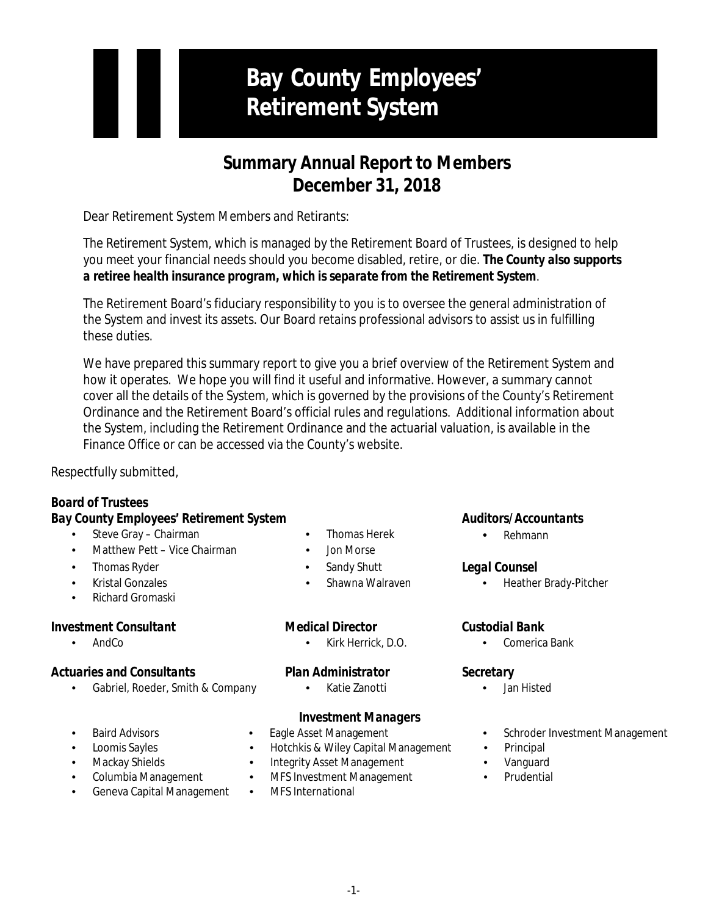# **Bay County Employees' Retirement System**

## **Summary Annual Report to Members December 31, 2018**

Dear Retirement System Members and Retirants:

The Retirement System, which is managed by the Retirement Board of Trustees, is designed to help you meet your financial needs should you become disabled, retire, or die. *The County also supports a retiree health insurance program, which is separate from the Retirement System*.

The Retirement Board's fiduciary responsibility to you is to oversee the general administration of the System and invest its assets. Our Board retains professional advisors to assist us in fulfilling these duties.

We have prepared this summary report to give you a brief overview of the Retirement System and how it operates. We hope you will find it useful and informative. However, a summary cannot cover all the details of the System, which is governed by the provisions of the County's Retirement Ordinance and the Retirement Board's official rules and regulations. Additional information about the System, including the Retirement Ordinance and the actuarial valuation, is available in the Finance Office or can be accessed via the County's website.

Respectfully submitted,

## *Board of Trustees*

## *Bay County Employees' Retirement System Auditors/Accountants*

- Steve Gray Chairman Thomas Herek
- Matthew Pett Vice Chairman Jon Morse
- Thomas Ryder Sandy Shutt
- 
- Richard Gromaski

## *Investment Consultant Medical Director Custodial Bank*

## *Actuaries and Consultants Plan Administrator Secretary*

• Gabriel, Roeder, Smith & Company • Katie Zanotti • Jan Histed

- 
- 
- 
- 

• AndCo • Kirk Herrick, D.O. • Comerica Bank

## *Investment Managers*

- 
- 
- 
- Columbia Management MFS Investment Management Prudential
- Geneva Capital Management MFS International
- 
- Loomis Sayles Hotchkis & Wiley Capital Management Principal
- Mackay Shields Integrity Asset Management Vanguard
	-
	-

• Rehmann

## *Legal Counsel*

• Kristal Gonzales • Shawna Walraven • Heather Brady-Pitcher

- 
- Baird Advisors Eagle Asset Management Schroder Investment Management
	-
	-
	-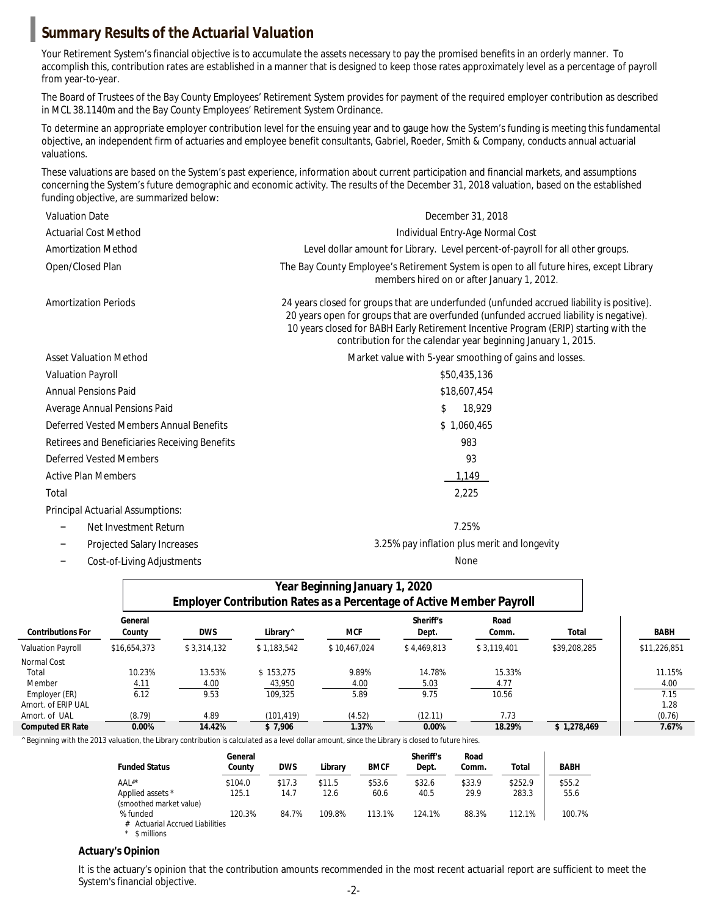## *Summary Results of the Actuarial Valuation*

Your Retirement System's financial objective is to accumulate the assets necessary to pay the promised benefits in an orderly manner. To accomplish this, contribution rates are established in a manner that is designed to keep those rates approximately level as a percentage of payroll from year-to-year.

The Board of Trustees of the Bay County Employees' Retirement System provides for payment of the required employer contribution as described in MCL 38.1140m and the Bay County Employees' Retirement System Ordinance.

To determine an appropriate employer contribution level for the ensuing year and to gauge how the System's funding is meeting this fundamental objective, an independent firm of actuaries and employee benefit consultants, Gabriel, Roeder, Smith & Company, conducts annual actuarial valuations.

These valuations are based on the System's past experience, information about current participation and financial markets, and assumptions concerning the System's future demographic and economic activity. The results of the December 31, 2018 valuation, based on the established funding objective, are summarized below:

| <b>Valuation Date</b>                                | <b>December 31, 2018</b>                                                                                                                                                                                                                                                                                                                     |  |  |  |
|------------------------------------------------------|----------------------------------------------------------------------------------------------------------------------------------------------------------------------------------------------------------------------------------------------------------------------------------------------------------------------------------------------|--|--|--|
| <b>Actuarial Cost Method</b>                         | <b>Individual Entry-Age Normal Cost</b>                                                                                                                                                                                                                                                                                                      |  |  |  |
| <b>Amortization Method</b>                           | Level dollar amount for Library. Level percent-of-payroll for all other groups.                                                                                                                                                                                                                                                              |  |  |  |
| <b>Open/Closed Plan</b>                              | The Bay County Employee's Retirement System is open to all future hires, except Library<br>members hired on or after January 1, 2012.                                                                                                                                                                                                        |  |  |  |
| <b>Amortization Periods</b>                          | 24 years closed for groups that are underfunded (unfunded accrued liability is positive).<br>20 years open for groups that are overfunded (unfunded accrued liability is negative).<br>10 years closed for BABH Early Retirement Incentive Program (ERIP) starting with the<br>contribution for the calendar year beginning January 1, 2015. |  |  |  |
| <b>Asset Valuation Method</b>                        | Market value with 5-year smoothing of gains and losses.                                                                                                                                                                                                                                                                                      |  |  |  |
| <b>Valuation Payroll</b>                             | \$50,435,136                                                                                                                                                                                                                                                                                                                                 |  |  |  |
| <b>Annual Pensions Paid</b>                          | \$18,607,454                                                                                                                                                                                                                                                                                                                                 |  |  |  |
| <b>Average Annual Pensions Paid</b>                  | S<br>18,929                                                                                                                                                                                                                                                                                                                                  |  |  |  |
| <b>Deferred Vested Members Annual Benefits</b>       | \$1,060,465                                                                                                                                                                                                                                                                                                                                  |  |  |  |
| <b>Retirees and Beneficiaries Receiving Benefits</b> | 983                                                                                                                                                                                                                                                                                                                                          |  |  |  |
| <b>Deferred Vested Members</b>                       | 93                                                                                                                                                                                                                                                                                                                                           |  |  |  |
| <b>Active Plan Members</b>                           | 1,149                                                                                                                                                                                                                                                                                                                                        |  |  |  |
| <b>Total</b>                                         | 2,225                                                                                                                                                                                                                                                                                                                                        |  |  |  |
| <b>Principal Actuarial Assumptions:</b>              |                                                                                                                                                                                                                                                                                                                                              |  |  |  |
| <b>Net Investment Return</b><br>-                    | 7.25%                                                                                                                                                                                                                                                                                                                                        |  |  |  |
| <b>Projected Salary Increases</b>                    | 3.25% pay inflation plus merit and longevity                                                                                                                                                                                                                                                                                                 |  |  |  |

− Cost-of-Living Adjustments None

|                          |                   | <b>Year Beginning January 1, 2020</b><br><b>Employer Contribution Rates as a Percentage of Active Member Payroll</b> |                      |              |                           |               |              |              |
|--------------------------|-------------------|----------------------------------------------------------------------------------------------------------------------|----------------------|--------------|---------------------------|---------------|--------------|--------------|
| <b>Contributions For</b> | General<br>County | <b>DWS</b>                                                                                                           | Library <sup>^</sup> | MCF          | <b>Sheriff's</b><br>Dept. | Road<br>Comm. | Total        | <b>BABH</b>  |
| Valuation Payroll        | \$16,654,373      | \$3,314,132                                                                                                          | \$1.183.542          | \$10.467.024 | \$4.469.813               | \$3,119,401   | \$39,208,285 | \$11,226,851 |
| Normal Cost              |                   |                                                                                                                      |                      |              |                           |               |              |              |
| Total                    | 10.23%            | 13.53%                                                                                                               | \$153,275            | 9.89%        | 14.78%                    | 15.33%        |              | 11.15%       |
| <b>Member</b>            | 4.11              | 4.00                                                                                                                 | 43,950               | 4.00         | 5.03                      | 4.77          |              | 4.00         |
| <b>Employer (ER)</b>     | 6.12              | 9.53                                                                                                                 | 109.325              | 5.89         | 9.75                      | 10.56         |              | 7.15         |
| Amort. of ERIP UAL       |                   |                                                                                                                      |                      |              |                           |               |              | 1.28         |
| Amort. of UAL            | (8.79)            | 4.89                                                                                                                 | (101, 419)           | (4.52)       | (12.11)                   | 7.73          |              | (0.76)       |
| <b>Computed ER Rate</b>  | $0.00\%$          | 14.42%                                                                                                               | \$7,906              | 1.37%        | $0.00\%$                  | 18.29%        | \$1.278.469  | 7.67%        |

*^ Beginning with the 2013 valuation, the Library contribution is calculated as a level dollar amount, since the Library is closed to future hires.*

| <b>Funded Status</b>                             | General<br>County | <b>DWS</b> | Librarv | <b>BMCF</b> | <b>Sheriff's</b><br>Dept. | Road<br>Comm. | Total   | <b>BABH</b> |
|--------------------------------------------------|-------------------|------------|---------|-------------|---------------------------|---------------|---------|-------------|
| $AAL^*$                                          | \$104.0           | \$17.3     | \$11.5  | \$53.6      | \$32.6                    | \$33.9        | \$252.9 | \$55.2\$    |
| Applied assets *<br>(smoothed market value)      | 125.1             | 14.7       | 12.6    | 60.6        | 40.5                      | 29.9          | 283.3   | 55.6        |
| % funded<br><b>Actuarial Accrued Liabilities</b> | 120.3%            | 84.7%      | 109.8%  | 113.1%      | 124.1%                    | 88.3%         | 112.1%  | 100.7%      |

*\* \$ millions*

### *Actuary's Opinion*

It is the actuary's opinion that the contribution amounts recommended in the most recent actuarial report are sufficient to meet the System's financial objective.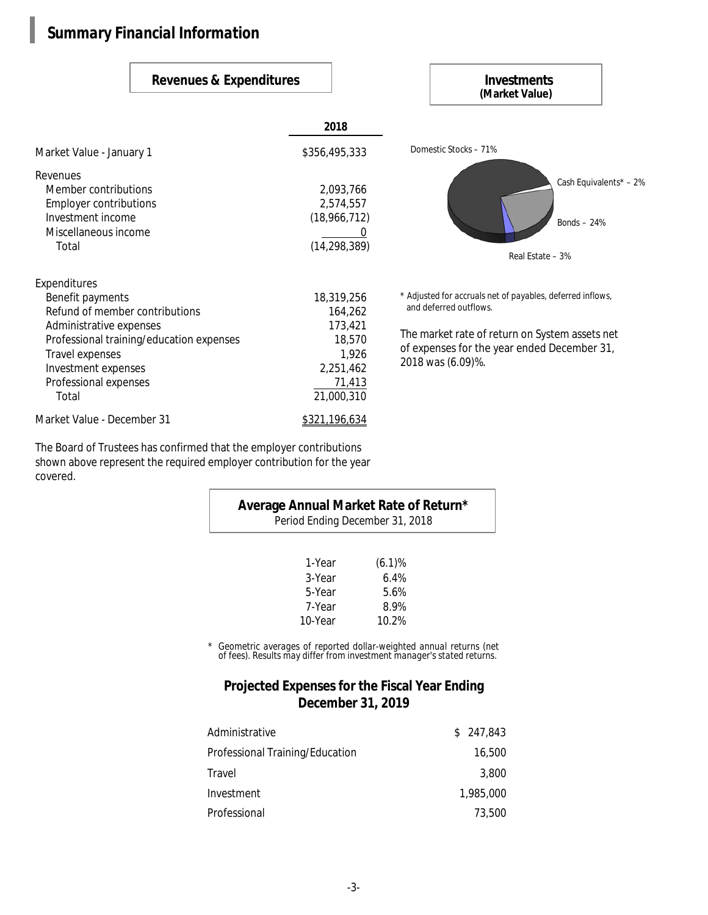## *Summary Financial Information*

### **2018** Market Value - January 1 \$356,495,333 Revenues Member contributions 2,093,766 Employer contributions 2,574,557 Investment income (18,966,712) Miscellaneous income 0 Total (14,298,389) Domestic Stocks – 71% Real Estate – 3% Cash Equivalents\* – 2% Bonds – 24% Expenditures Benefit payments 18,319,256 Refund of member contributions 164,262 Administrative expenses 173,421 Professional training/education expenses 18,570 Travel expenses and the set of the set of the set of the set of the set of the set of the set of the set of the set of the set of the set of the set of the set of the set of the set of the set of the set of the set of the Investment expenses 2,251,462 Professional expenses 71,413 Total 21,000,310 Market Value - December 31 \$321,196,634 \* *Adjusted for accruals net of payables, deferred inflows,* and deferred outflows. The market rate of return on System assets net of expenses for the year ended December 31, 2018 was (6.09)%. **Revenues & Expenditures Investments (Market Value)**

The Board of Trustees has confirmed that the employer contributions shown above represent the required employer contribution for the year covered.

| <b>Average Annual Market Rate of Return*</b><br><b>Period Ending December 31, 2018</b> |           |  |  |  |  |
|----------------------------------------------------------------------------------------|-----------|--|--|--|--|
| 1-Year                                                                                 | $(6.1)\%$ |  |  |  |  |
| 3-Year                                                                                 | 6.4%      |  |  |  |  |
| 5-Year                                                                                 | 5.6%      |  |  |  |  |
| 7-Year                                                                                 | 8.9%      |  |  |  |  |
| 10-Year                                                                                | 10.2%     |  |  |  |  |

*\* Geometric averages of reported dollar-weighted annual returns (net of fees). Results may differ from investment manager's stated returns.*

## **Projected Expenses for the Fiscal Year Ending December 31, 2019**

| <b>Administrative</b>                  | \$247.843 |
|----------------------------------------|-----------|
| <b>Professional Training/Education</b> | 16.500    |
| Travel                                 | 3.800     |
| <b>Investment</b>                      | 1.985.000 |
| <b>Professional</b>                    | 73.500    |